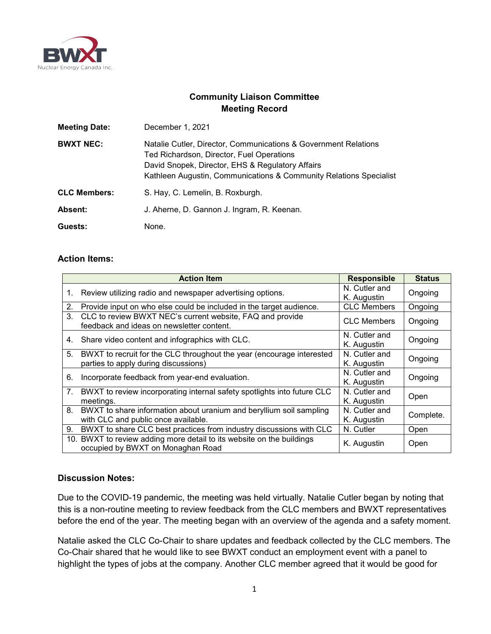

## **Community Liaison Committee Meeting Record**

| <b>Meeting Date:</b> | December 1, 2021                                                                                                                                                                                                                       |  |
|----------------------|----------------------------------------------------------------------------------------------------------------------------------------------------------------------------------------------------------------------------------------|--|
| <b>BWXT NEC:</b>     | Natalie Cutler, Director, Communications & Government Relations<br>Ted Richardson, Director, Fuel Operations<br>David Snopek, Director, EHS & Regulatory Affairs<br>Kathleen Augustin, Communications & Community Relations Specialist |  |
| <b>CLC Members:</b>  | S. Hay, C. Lemelin, B. Roxburgh.                                                                                                                                                                                                       |  |
| Absent:              | J. Aherne, D. Gannon J. Ingram, R. Keenan.                                                                                                                                                                                             |  |
| Guests:              | None.                                                                                                                                                                                                                                  |  |

## **Action Items:**

|         | <b>Action Item</b>                                                                                            | <b>Responsible</b>           | <b>Status</b> |
|---------|---------------------------------------------------------------------------------------------------------------|------------------------------|---------------|
| 1.      | Review utilizing radio and newspaper advertising options.                                                     | N. Cutler and<br>K. Augustin | Ongoing       |
| 2.      | Provide input on who else could be included in the target audience.                                           | <b>CLC Members</b>           | Ongoing       |
| $3_{-}$ | CLC to review BWXT NEC's current website, FAQ and provide<br>feedback and ideas on newsletter content.        | <b>CLC Members</b>           | Ongoing       |
| 4.      | Share video content and infographics with CLC.                                                                | N. Cutler and<br>K. Augustin | Ongoing       |
| 5.      | BWXT to recruit for the CLC throughout the year (encourage interested<br>parties to apply during discussions) | N. Cutler and<br>K. Augustin | Ongoing       |
| 6.      | Incorporate feedback from year-end evaluation.                                                                | N. Cutler and<br>K. Augustin | Ongoing       |
| 7.      | BWXT to review incorporating internal safety spotlights into future CLC<br>meetings.                          | N. Cutler and<br>K. Augustin | Open          |
| 8.      | BWXT to share information about uranium and beryllium soil sampling<br>with CLC and public once available.    | N. Cutler and<br>K. Augustin | Complete.     |
| 9.      | BWXT to share CLC best practices from industry discussions with CLC                                           | N. Cutler                    | Open          |
|         | 10. BWXT to review adding more detail to its website on the buildings<br>occupied by BWXT on Monaghan Road    | K. Augustin                  | Open          |

## **Discussion Notes:**

Due to the COVID-19 pandemic, the meeting was held virtually. Natalie Cutler began by noting that this is a non-routine meeting to review feedback from the CLC members and BWXT representatives before the end of the year. The meeting began with an overview of the agenda and a safety moment.

Natalie asked the CLC Co-Chair to share updates and feedback collected by the CLC members. The Co-Chair shared that he would like to see BWXT conduct an employment event with a panel to highlight the types of jobs at the company. Another CLC member agreed that it would be good for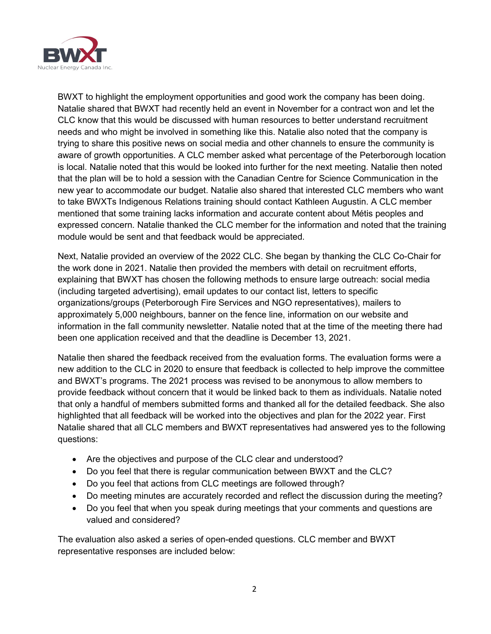

BWXT to highlight the employment opportunities and good work the company has been doing. Natalie shared that BWXT had recently held an event in November for a contract won and let the CLC know that this would be discussed with human resources to better understand recruitment needs and who might be involved in something like this. Natalie also noted that the company is trying to share this positive news on social media and other channels to ensure the community is aware of growth opportunities. A CLC member asked what percentage of the Peterborough location is local. Natalie noted that this would be looked into further for the next meeting. Natalie then noted that the plan will be to hold a session with the Canadian Centre for Science Communication in the new year to accommodate our budget. Natalie also shared that interested CLC members who want to take BWXTs Indigenous Relations training should contact Kathleen Augustin. A CLC member mentioned that some training lacks information and accurate content about Métis peoples and expressed concern. Natalie thanked the CLC member for the information and noted that the training module would be sent and that feedback would be appreciated.

Next, Natalie provided an overview of the 2022 CLC. She began by thanking the CLC Co-Chair for the work done in 2021. Natalie then provided the members with detail on recruitment efforts, explaining that BWXT has chosen the following methods to ensure large outreach: social media (including targeted advertising), email updates to our contact list, letters to specific organizations/groups (Peterborough Fire Services and NGO representatives), mailers to approximately 5,000 neighbours, banner on the fence line, information on our website and information in the fall community newsletter. Natalie noted that at the time of the meeting there had been one application received and that the deadline is December 13, 2021.

Natalie then shared the feedback received from the evaluation forms. The evaluation forms were a new addition to the CLC in 2020 to ensure that feedback is collected to help improve the committee and BWXT's programs. The 2021 process was revised to be anonymous to allow members to provide feedback without concern that it would be linked back to them as individuals. Natalie noted that only a handful of members submitted forms and thanked all for the detailed feedback. She also highlighted that all feedback will be worked into the objectives and plan for the 2022 year. First Natalie shared that all CLC members and BWXT representatives had answered yes to the following questions:

- Are the objectives and purpose of the CLC clear and understood?
- Do you feel that there is regular communication between BWXT and the CLC?
- Do you feel that actions from CLC meetings are followed through?
- Do meeting minutes are accurately recorded and reflect the discussion during the meeting?
- Do you feel that when you speak during meetings that your comments and questions are valued and considered?

The evaluation also asked a series of open-ended questions. CLC member and BWXT representative responses are included below: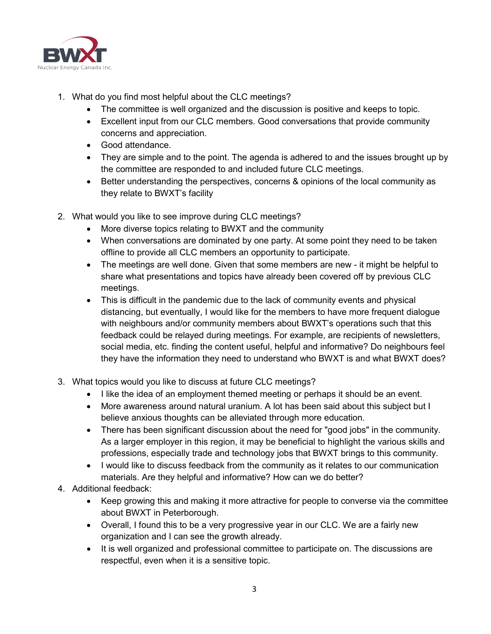

- 1. What do you find most helpful about the CLC meetings?
	- The committee is well organized and the discussion is positive and keeps to topic.
	- Excellent input from our CLC members. Good conversations that provide community concerns and appreciation.
	- Good attendance.
	- They are simple and to the point. The agenda is adhered to and the issues brought up by the committee are responded to and included future CLC meetings.
	- Better understanding the perspectives, concerns & opinions of the local community as they relate to BWXT's facility
- 2. What would you like to see improve during CLC meetings?
	- More diverse topics relating to BWXT and the community
	- When conversations are dominated by one party. At some point they need to be taken offline to provide all CLC members an opportunity to participate.
	- The meetings are well done. Given that some members are new it might be helpful to share what presentations and topics have already been covered off by previous CLC meetings.
	- This is difficult in the pandemic due to the lack of community events and physical distancing, but eventually, I would like for the members to have more frequent dialogue with neighbours and/or community members about BWXT's operations such that this feedback could be relayed during meetings. For example, are recipients of newsletters, social media, etc. finding the content useful, helpful and informative? Do neighbours feel they have the information they need to understand who BWXT is and what BWXT does?
- 3. What topics would you like to discuss at future CLC meetings?
	- I like the idea of an employment themed meeting or perhaps it should be an event.
	- More awareness around natural uranium. A lot has been said about this subject but I believe anxious thoughts can be alleviated through more education.
	- There has been significant discussion about the need for "good jobs" in the community. As a larger employer in this region, it may be beneficial to highlight the various skills and professions, especially trade and technology jobs that BWXT brings to this community.
	- I would like to discuss feedback from the community as it relates to our communication materials. Are they helpful and informative? How can we do better?
- 4. Additional feedback:
	- Keep growing this and making it more attractive for people to converse via the committee about BWXT in Peterborough.
	- Overall, I found this to be a very progressive year in our CLC. We are a fairly new organization and I can see the growth already.
	- It is well organized and professional committee to participate on. The discussions are respectful, even when it is a sensitive topic.